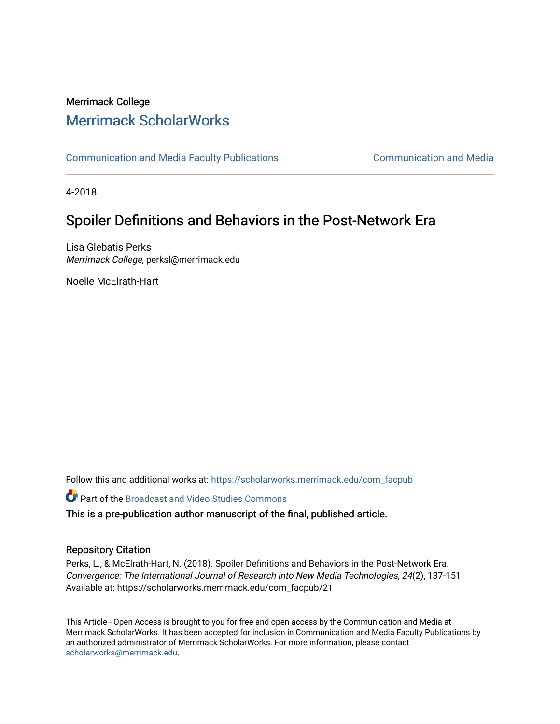## Merrimack College [Merrimack ScholarWorks](https://scholarworks.merrimack.edu/)

[Communication and Media Faculty Publications](https://scholarworks.merrimack.edu/com_facpub) [Communication and Media](https://scholarworks.merrimack.edu/com) 

4-2018

# Spoiler Definitions and Behaviors in the Post-Network Era

Lisa Glebatis Perks Merrimack College, perksl@merrimack.edu

Noelle McElrath-Hart

Follow this and additional works at: [https://scholarworks.merrimack.edu/com\\_facpub](https://scholarworks.merrimack.edu/com_facpub?utm_source=scholarworks.merrimack.edu%2Fcom_facpub%2F21&utm_medium=PDF&utm_campaign=PDFCoverPages) 

Part of the [Broadcast and Video Studies Commons](http://network.bepress.com/hgg/discipline/326?utm_source=scholarworks.merrimack.edu%2Fcom_facpub%2F21&utm_medium=PDF&utm_campaign=PDFCoverPages) 

This is a pre-publication author manuscript of the final, published article.

## Repository Citation

Perks, L., & McElrath-Hart, N. (2018). Spoiler Definitions and Behaviors in the Post-Network Era. Convergence: The International Journal of Research into New Media Technologies, 24(2), 137-151. Available at: https://scholarworks.merrimack.edu/com\_facpub/21

This Article - Open Access is brought to you for free and open access by the Communication and Media at Merrimack ScholarWorks. It has been accepted for inclusion in Communication and Media Faculty Publications by an authorized administrator of Merrimack ScholarWorks. For more information, please contact [scholarworks@merrimack.edu](mailto:scholarworks@merrimack.edu).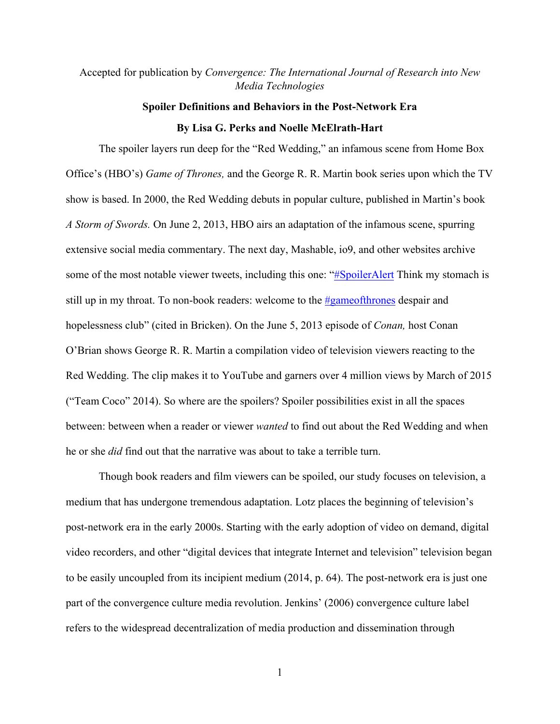## Accepted for publication by *Convergence: The International Journal of Research into New Media Technologies*

# **Spoiler Definitions and Behaviors in the Post-Network Era By Lisa G. Perks and Noelle McElrath-Hart**

The spoiler layers run deep for the "Red Wedding," an infamous scene from Home Box Office's (HBO's) *Game of Thrones,* and the George R. R. Martin book series upon which the TV show is based. In 2000, the Red Wedding debuts in popular culture, published in Martin's book *A Storm of Swords.* On June 2, 2013, HBO airs an adaptation of the infamous scene, spurring extensive social media commentary. The next day, Mashable, io9, and other websites archive some of the most notable viewer tweets, including this one: "#SpoilerAlert Think my stomach is still up in my throat. To non-book readers: welcome to the #gameofthrones despair and hopelessness club" (cited in Bricken). On the June 5, 2013 episode of *Conan,* host Conan O'Brian shows George R. R. Martin a compilation video of television viewers reacting to the Red Wedding. The clip makes it to YouTube and garners over 4 million views by March of 2015 ("Team Coco" 2014). So where are the spoilers? Spoiler possibilities exist in all the spaces between: between when a reader or viewer *wanted* to find out about the Red Wedding and when he or she *did* find out that the narrative was about to take a terrible turn.

Though book readers and film viewers can be spoiled, our study focuses on television, a medium that has undergone tremendous adaptation. Lotz places the beginning of television's post-network era in the early 2000s. Starting with the early adoption of video on demand, digital video recorders, and other "digital devices that integrate Internet and television" television began to be easily uncoupled from its incipient medium (2014, p. 64). The post-network era is just one part of the convergence culture media revolution. Jenkins' (2006) convergence culture label refers to the widespread decentralization of media production and dissemination through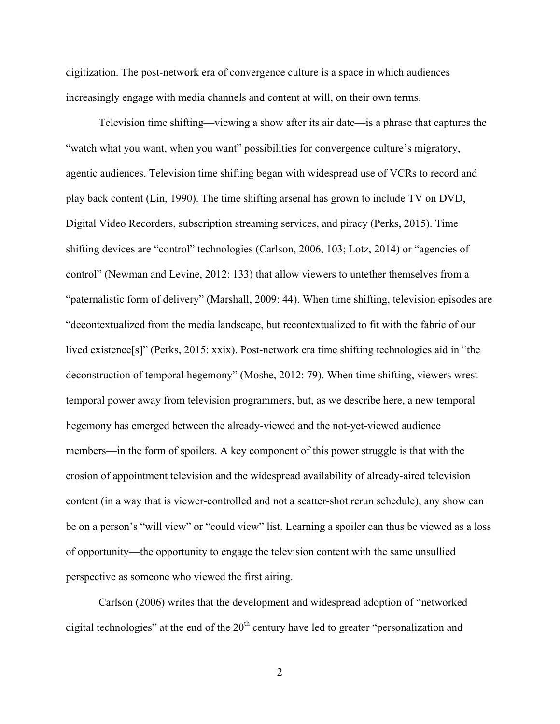digitization. The post-network era of convergence culture is a space in which audiences increasingly engage with media channels and content at will, on their own terms.

Television time shifting—viewing a show after its air date—is a phrase that captures the "watch what you want, when you want" possibilities for convergence culture's migratory, agentic audiences. Television time shifting began with widespread use of VCRs to record and play back content (Lin, 1990). The time shifting arsenal has grown to include TV on DVD, Digital Video Recorders, subscription streaming services, and piracy (Perks, 2015). Time shifting devices are "control" technologies (Carlson, 2006, 103; Lotz, 2014) or "agencies of control" (Newman and Levine, 2012: 133) that allow viewers to untether themselves from a "paternalistic form of delivery" (Marshall, 2009: 44). When time shifting, television episodes are "decontextualized from the media landscape, but recontextualized to fit with the fabric of our lived existence[s]" (Perks, 2015: xxix). Post-network era time shifting technologies aid in "the deconstruction of temporal hegemony" (Moshe, 2012: 79). When time shifting, viewers wrest temporal power away from television programmers, but, as we describe here, a new temporal hegemony has emerged between the already-viewed and the not-yet-viewed audience members—in the form of spoilers. A key component of this power struggle is that with the erosion of appointment television and the widespread availability of already-aired television content (in a way that is viewer-controlled and not a scatter-shot rerun schedule), any show can be on a person's "will view" or "could view" list. Learning a spoiler can thus be viewed as a loss of opportunity—the opportunity to engage the television content with the same unsullied perspective as someone who viewed the first airing.

Carlson (2006) writes that the development and widespread adoption of "networked digital technologies" at the end of the  $20<sup>th</sup>$  century have led to greater "personalization and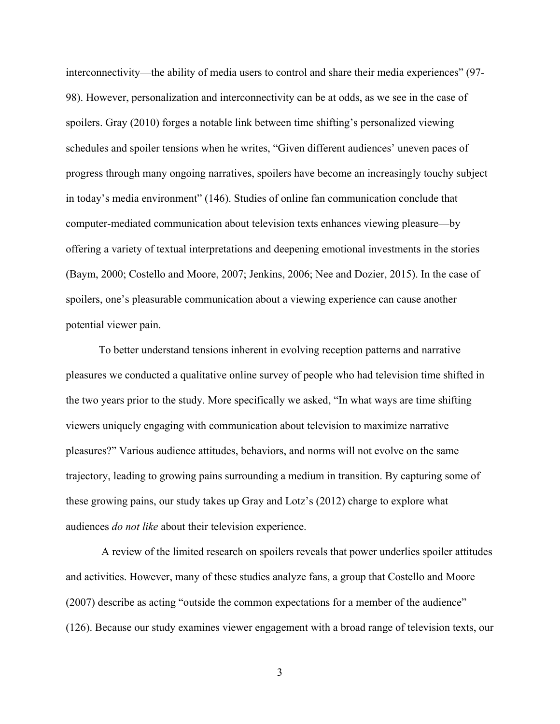interconnectivity—the ability of media users to control and share their media experiences" (97- 98). However, personalization and interconnectivity can be at odds, as we see in the case of spoilers. Gray (2010) forges a notable link between time shifting's personalized viewing schedules and spoiler tensions when he writes, "Given different audiences' uneven paces of progress through many ongoing narratives, spoilers have become an increasingly touchy subject in today's media environment" (146). Studies of online fan communication conclude that computer-mediated communication about television texts enhances viewing pleasure—by offering a variety of textual interpretations and deepening emotional investments in the stories (Baym, 2000; Costello and Moore, 2007; Jenkins, 2006; Nee and Dozier, 2015). In the case of spoilers, one's pleasurable communication about a viewing experience can cause another potential viewer pain.

To better understand tensions inherent in evolving reception patterns and narrative pleasures we conducted a qualitative online survey of people who had television time shifted in the two years prior to the study. More specifically we asked, "In what ways are time shifting viewers uniquely engaging with communication about television to maximize narrative pleasures?" Various audience attitudes, behaviors, and norms will not evolve on the same trajectory, leading to growing pains surrounding a medium in transition. By capturing some of these growing pains, our study takes up Gray and Lotz's (2012) charge to explore what audiences *do not like* about their television experience.

A review of the limited research on spoilers reveals that power underlies spoiler attitudes and activities. However, many of these studies analyze fans, a group that Costello and Moore (2007) describe as acting "outside the common expectations for a member of the audience" (126). Because our study examines viewer engagement with a broad range of television texts, our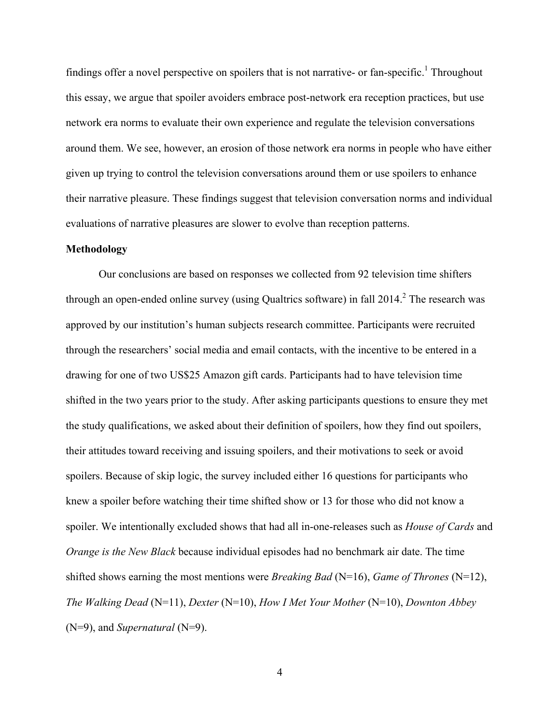findings offer a novel perspective on spoilers that is not narrative- or fan-specific.<sup>1</sup> Throughout this essay, we argue that spoiler avoiders embrace post-network era reception practices, but use network era norms to evaluate their own experience and regulate the television conversations around them. We see, however, an erosion of those network era norms in people who have either given up trying to control the television conversations around them or use spoilers to enhance their narrative pleasure. These findings suggest that television conversation norms and individual evaluations of narrative pleasures are slower to evolve than reception patterns.

#### **Methodology**

Our conclusions are based on responses we collected from 92 television time shifters through an open-ended online survey (using Qualtrics software) in fall  $2014<sup>2</sup>$ . The research was approved by our institution's human subjects research committee. Participants were recruited through the researchers' social media and email contacts, with the incentive to be entered in a drawing for one of two US\$25 Amazon gift cards. Participants had to have television time shifted in the two years prior to the study. After asking participants questions to ensure they met the study qualifications, we asked about their definition of spoilers, how they find out spoilers, their attitudes toward receiving and issuing spoilers, and their motivations to seek or avoid spoilers. Because of skip logic, the survey included either 16 questions for participants who knew a spoiler before watching their time shifted show or 13 for those who did not know a spoiler. We intentionally excluded shows that had all in-one-releases such as *House of Cards* and *Orange is the New Black* because individual episodes had no benchmark air date. The time shifted shows earning the most mentions were *Breaking Bad* (N=16), *Game of Thrones* (N=12), *The Walking Dead* (N=11), *Dexter* (N=10), *How I Met Your Mother* (N=10), *Downton Abbey*  (N=9), and *Supernatural* (N=9).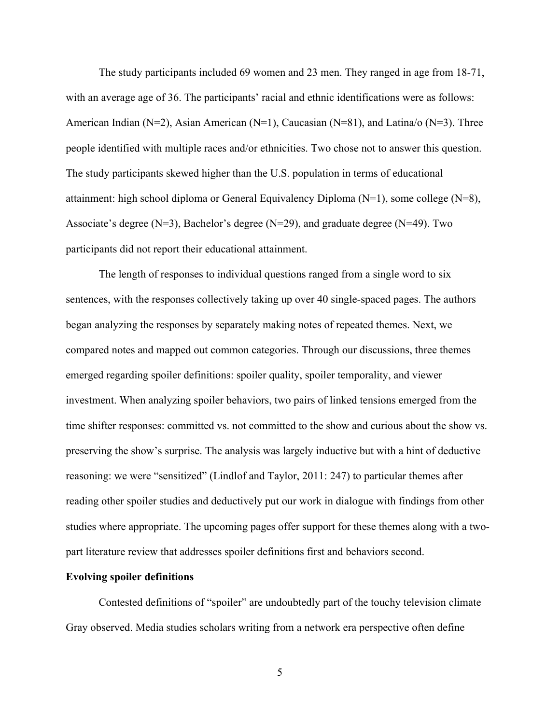The study participants included 69 women and 23 men. They ranged in age from 18-71, with an average age of 36. The participants' racial and ethnic identifications were as follows: American Indian (N=2), Asian American (N=1), Caucasian (N=81), and Latina/o (N=3). Three people identified with multiple races and/or ethnicities. Two chose not to answer this question. The study participants skewed higher than the U.S. population in terms of educational attainment: high school diploma or General Equivalency Diploma (N=1), some college (N=8), Associate's degree (N=3), Bachelor's degree (N=29), and graduate degree (N=49). Two participants did not report their educational attainment.

The length of responses to individual questions ranged from a single word to six sentences, with the responses collectively taking up over 40 single-spaced pages. The authors began analyzing the responses by separately making notes of repeated themes. Next, we compared notes and mapped out common categories. Through our discussions, three themes emerged regarding spoiler definitions: spoiler quality, spoiler temporality, and viewer investment. When analyzing spoiler behaviors, two pairs of linked tensions emerged from the time shifter responses: committed vs. not committed to the show and curious about the show vs. preserving the show's surprise. The analysis was largely inductive but with a hint of deductive reasoning: we were "sensitized" (Lindlof and Taylor, 2011: 247) to particular themes after reading other spoiler studies and deductively put our work in dialogue with findings from other studies where appropriate. The upcoming pages offer support for these themes along with a twopart literature review that addresses spoiler definitions first and behaviors second.

## **Evolving spoiler definitions**

Contested definitions of "spoiler" are undoubtedly part of the touchy television climate Gray observed. Media studies scholars writing from a network era perspective often define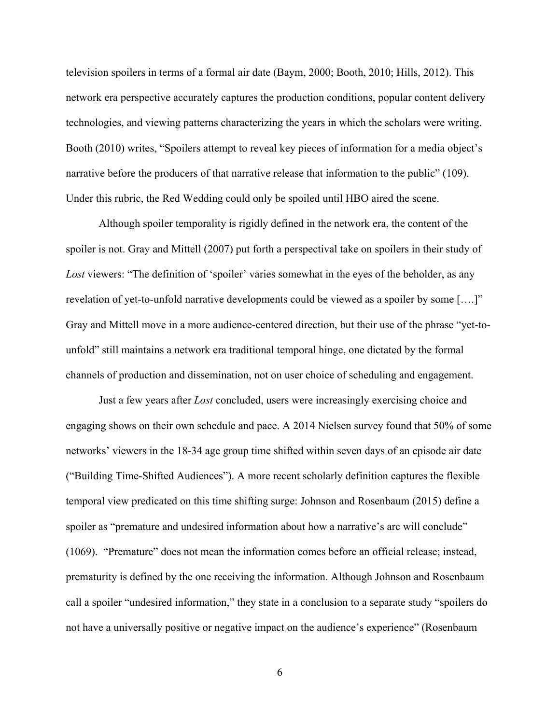television spoilers in terms of a formal air date (Baym, 2000; Booth, 2010; Hills, 2012). This network era perspective accurately captures the production conditions, popular content delivery technologies, and viewing patterns characterizing the years in which the scholars were writing. Booth (2010) writes, "Spoilers attempt to reveal key pieces of information for a media object's narrative before the producers of that narrative release that information to the public" (109). Under this rubric, the Red Wedding could only be spoiled until HBO aired the scene.

Although spoiler temporality is rigidly defined in the network era, the content of the spoiler is not. Gray and Mittell (2007) put forth a perspectival take on spoilers in their study of Lost viewers: "The definition of 'spoiler' varies somewhat in the eyes of the beholder, as any revelation of yet-to-unfold narrative developments could be viewed as a spoiler by some [….]" Gray and Mittell move in a more audience-centered direction, but their use of the phrase "yet-tounfold" still maintains a network era traditional temporal hinge, one dictated by the formal channels of production and dissemination, not on user choice of scheduling and engagement.

Just a few years after *Lost* concluded, users were increasingly exercising choice and engaging shows on their own schedule and pace. A 2014 Nielsen survey found that 50% of some networks' viewers in the 18-34 age group time shifted within seven days of an episode air date ("Building Time-Shifted Audiences"). A more recent scholarly definition captures the flexible temporal view predicated on this time shifting surge: Johnson and Rosenbaum (2015) define a spoiler as "premature and undesired information about how a narrative's arc will conclude" (1069). "Premature" does not mean the information comes before an official release; instead, prematurity is defined by the one receiving the information. Although Johnson and Rosenbaum call a spoiler "undesired information," they state in a conclusion to a separate study "spoilers do not have a universally positive or negative impact on the audience's experience" (Rosenbaum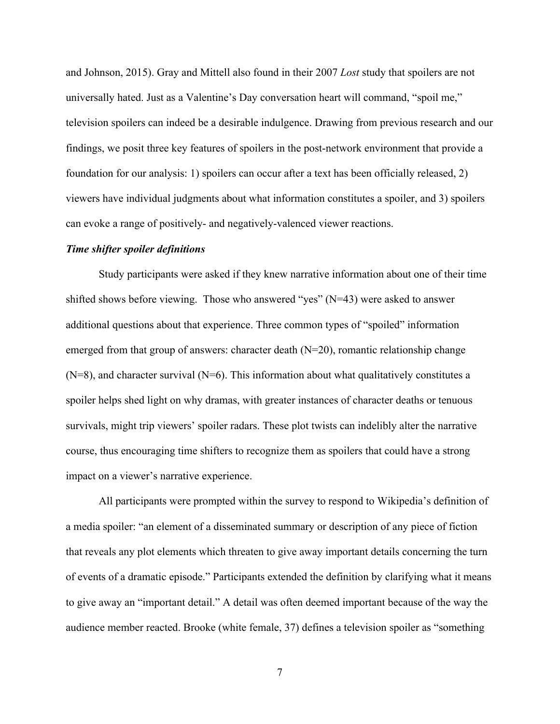and Johnson, 2015). Gray and Mittell also found in their 2007 *Lost* study that spoilers are not universally hated. Just as a Valentine's Day conversation heart will command, "spoil me," television spoilers can indeed be a desirable indulgence. Drawing from previous research and our findings, we posit three key features of spoilers in the post-network environment that provide a foundation for our analysis: 1) spoilers can occur after a text has been officially released, 2) viewers have individual judgments about what information constitutes a spoiler, and 3) spoilers can evoke a range of positively- and negatively-valenced viewer reactions.

#### *Time shifter spoiler definitions*

Study participants were asked if they knew narrative information about one of their time shifted shows before viewing. Those who answered "yes" (N=43) were asked to answer additional questions about that experience. Three common types of "spoiled" information emerged from that group of answers: character death  $(N=20)$ , romantic relationship change  $(N=8)$ , and character survival  $(N=6)$ . This information about what qualitatively constitutes a spoiler helps shed light on why dramas, with greater instances of character deaths or tenuous survivals, might trip viewers' spoiler radars. These plot twists can indelibly alter the narrative course, thus encouraging time shifters to recognize them as spoilers that could have a strong impact on a viewer's narrative experience.

All participants were prompted within the survey to respond to Wikipedia's definition of a media spoiler: "an element of a disseminated summary or description of any piece of fiction that reveals any plot elements which threaten to give away important details concerning the turn of events of a dramatic episode." Participants extended the definition by clarifying what it means to give away an "important detail." A detail was often deemed important because of the way the audience member reacted. Brooke (white female, 37) defines a television spoiler as "something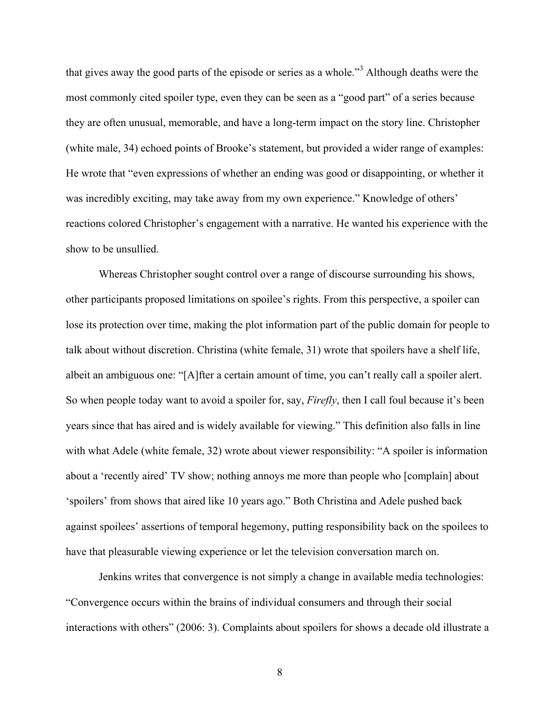that gives away the good parts of the episode or series as a whole."<sup>3</sup> Although deaths were the most commonly cited spoiler type, even they can be seen as a "good part" of a series because they are often unusual, memorable, and have a long-term impact on the story line. Christopher (white male, 34) echoed points of Brooke's statement, but provided a wider range of examples: He wrote that "even expressions of whether an ending was good or disappointing, or whether it was incredibly exciting, may take away from my own experience." Knowledge of others' reactions colored Christopher's engagement with a narrative. He wanted his experience with the show to be unsullied.

Whereas Christopher sought control over a range of discourse surrounding his shows, other participants proposed limitations on spoilee's rights. From this perspective, a spoiler can lose its protection over time, making the plot information part of the public domain for people to talk about without discretion. Christina (white female, 31) wrote that spoilers have a shelf life, albeit an ambiguous one: "[A]fter a certain amount of time, you can't really call a spoiler alert. So when people today want to avoid a spoiler for, say, *Firefly*, then I call foul because it's been years since that has aired and is widely available for viewing." This definition also falls in line with what Adele (white female, 32) wrote about viewer responsibility: "A spoiler is information about a 'recently aired' TV show; nothing annoys me more than people who [complain] about 'spoilers' from shows that aired like 10 years ago." Both Christina and Adele pushed back against spoilees' assertions of temporal hegemony, putting responsibility back on the spoilees to have that pleasurable viewing experience or let the television conversation march on.

Jenkins writes that convergence is not simply a change in available media technologies: "Convergence occurs within the brains of individual consumers and through their social interactions with others" (2006: 3). Complaints about spoilers for shows a decade old illustrate a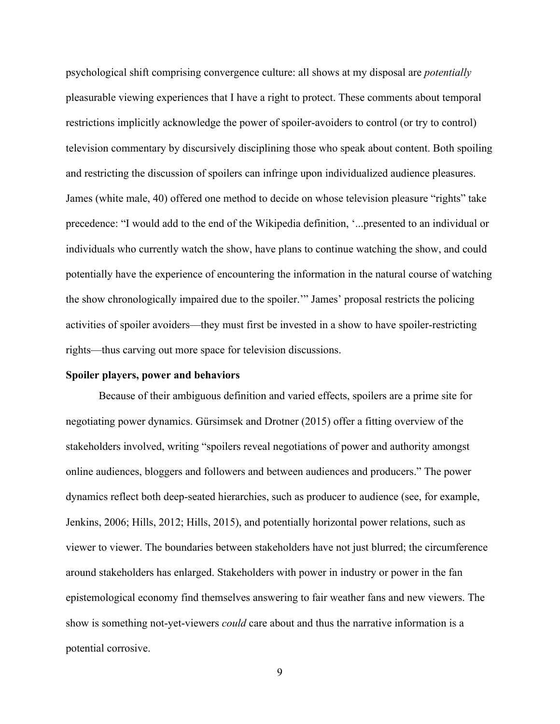psychological shift comprising convergence culture: all shows at my disposal are *potentially* pleasurable viewing experiences that I have a right to protect. These comments about temporal restrictions implicitly acknowledge the power of spoiler-avoiders to control (or try to control) television commentary by discursively disciplining those who speak about content. Both spoiling and restricting the discussion of spoilers can infringe upon individualized audience pleasures. James (white male, 40) offered one method to decide on whose television pleasure "rights" take precedence: "I would add to the end of the Wikipedia definition, '...presented to an individual or individuals who currently watch the show, have plans to continue watching the show, and could potentially have the experience of encountering the information in the natural course of watching the show chronologically impaired due to the spoiler.'" James' proposal restricts the policing activities of spoiler avoiders—they must first be invested in a show to have spoiler-restricting rights—thus carving out more space for television discussions.

#### **Spoiler players, power and behaviors**

Because of their ambiguous definition and varied effects, spoilers are a prime site for negotiating power dynamics. Gürsimsek and Drotner (2015) offer a fitting overview of the stakeholders involved, writing "spoilers reveal negotiations of power and authority amongst online audiences, bloggers and followers and between audiences and producers." The power dynamics reflect both deep-seated hierarchies, such as producer to audience (see, for example, Jenkins, 2006; Hills, 2012; Hills, 2015), and potentially horizontal power relations, such as viewer to viewer. The boundaries between stakeholders have not just blurred; the circumference around stakeholders has enlarged. Stakeholders with power in industry or power in the fan epistemological economy find themselves answering to fair weather fans and new viewers. The show is something not-yet-viewers *could* care about and thus the narrative information is a potential corrosive.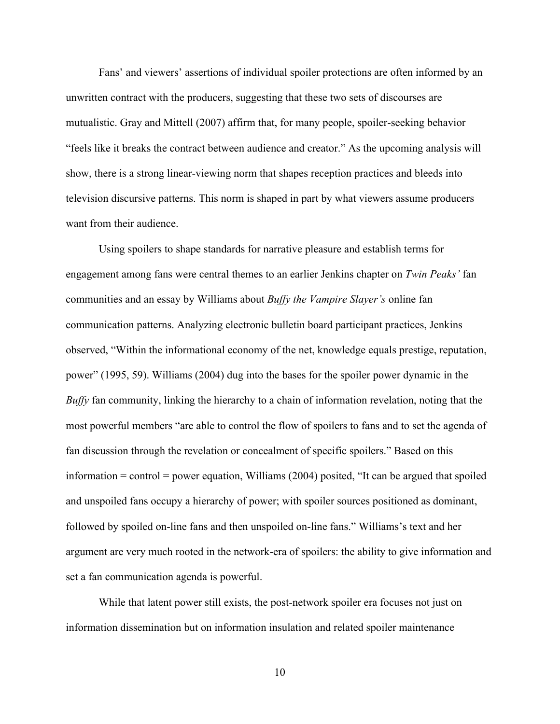Fans' and viewers' assertions of individual spoiler protections are often informed by an unwritten contract with the producers, suggesting that these two sets of discourses are mutualistic. Gray and Mittell (2007) affirm that, for many people, spoiler-seeking behavior "feels like it breaks the contract between audience and creator." As the upcoming analysis will show, there is a strong linear-viewing norm that shapes reception practices and bleeds into television discursive patterns. This norm is shaped in part by what viewers assume producers want from their audience.

Using spoilers to shape standards for narrative pleasure and establish terms for engagement among fans were central themes to an earlier Jenkins chapter on *Twin Peaks'* fan communities and an essay by Williams about *Buffy the Vampire Slayer's* online fan communication patterns. Analyzing electronic bulletin board participant practices, Jenkins observed, "Within the informational economy of the net, knowledge equals prestige, reputation, power" (1995, 59). Williams (2004) dug into the bases for the spoiler power dynamic in the *Buffy* fan community, linking the hierarchy to a chain of information revelation, noting that the most powerful members "are able to control the flow of spoilers to fans and to set the agenda of fan discussion through the revelation or concealment of specific spoilers." Based on this information  $=$  control  $=$  power equation, Williams (2004) posited, "It can be argued that spoiled and unspoiled fans occupy a hierarchy of power; with spoiler sources positioned as dominant, followed by spoiled on-line fans and then unspoiled on-line fans." Williams's text and her argument are very much rooted in the network-era of spoilers: the ability to give information and set a fan communication agenda is powerful.

While that latent power still exists, the post-network spoiler era focuses not just on information dissemination but on information insulation and related spoiler maintenance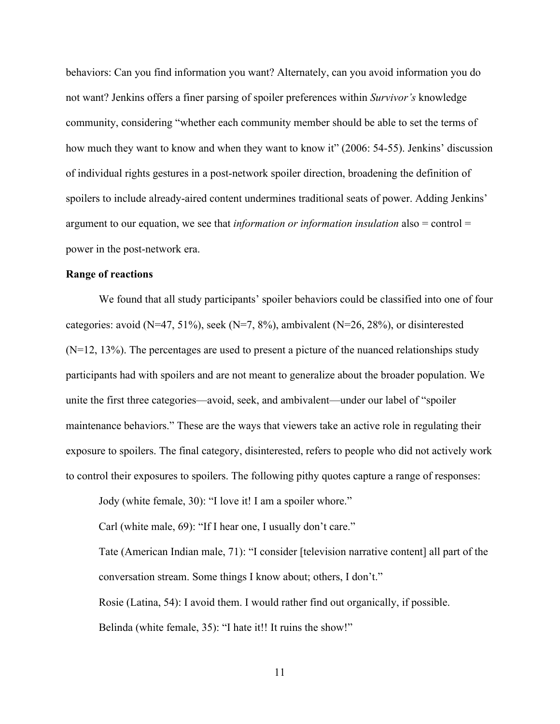behaviors: Can you find information you want? Alternately, can you avoid information you do not want? Jenkins offers a finer parsing of spoiler preferences within *Survivor's* knowledge community, considering "whether each community member should be able to set the terms of how much they want to know and when they want to know it" (2006: 54-55). Jenkins' discussion of individual rights gestures in a post-network spoiler direction, broadening the definition of spoilers to include already-aired content undermines traditional seats of power. Adding Jenkins' argument to our equation, we see that *information or information insulation* also = control = power in the post-network era.

## **Range of reactions**

We found that all study participants' spoiler behaviors could be classified into one of four categories: avoid  $(N=47, 51\%)$ , seek  $(N=7, 8\%)$ , ambivalent  $(N=26, 28\%)$ , or disinterested  $(N=12, 13%)$ . The percentages are used to present a picture of the nuanced relationships study participants had with spoilers and are not meant to generalize about the broader population. We unite the first three categories—avoid, seek, and ambivalent—under our label of "spoiler maintenance behaviors." These are the ways that viewers take an active role in regulating their exposure to spoilers. The final category, disinterested, refers to people who did not actively work to control their exposures to spoilers. The following pithy quotes capture a range of responses:

Jody (white female, 30): "I love it! I am a spoiler whore."

Carl (white male, 69): "If I hear one, I usually don't care."

Tate (American Indian male, 71): "I consider [television narrative content] all part of the conversation stream. Some things I know about; others, I don't."

Rosie (Latina, 54): I avoid them. I would rather find out organically, if possible. Belinda (white female, 35): "I hate it!! It ruins the show!"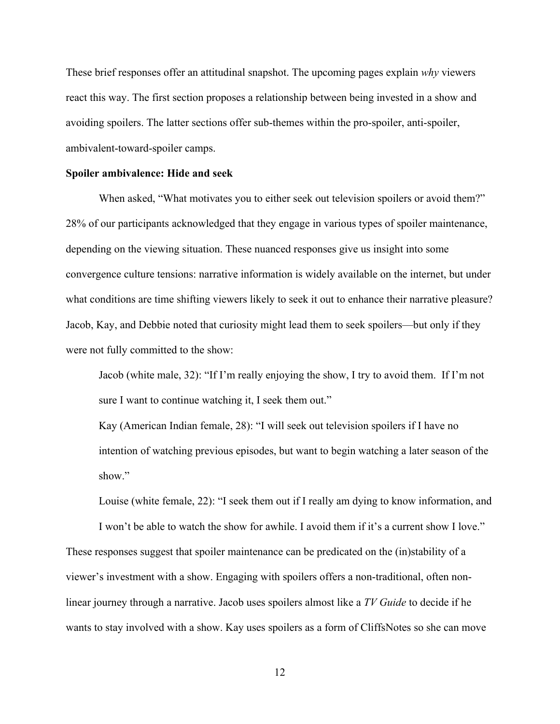These brief responses offer an attitudinal snapshot. The upcoming pages explain *why* viewers react this way. The first section proposes a relationship between being invested in a show and avoiding spoilers. The latter sections offer sub-themes within the pro-spoiler, anti-spoiler, ambivalent-toward-spoiler camps.

#### **Spoiler ambivalence: Hide and seek**

When asked, "What motivates you to either seek out television spoilers or avoid them?" 28% of our participants acknowledged that they engage in various types of spoiler maintenance, depending on the viewing situation. These nuanced responses give us insight into some convergence culture tensions: narrative information is widely available on the internet, but under what conditions are time shifting viewers likely to seek it out to enhance their narrative pleasure? Jacob, Kay, and Debbie noted that curiosity might lead them to seek spoilers—but only if they were not fully committed to the show:

Jacob (white male, 32): "If I'm really enjoying the show, I try to avoid them. If I'm not sure I want to continue watching it, I seek them out."

Kay (American Indian female, 28): "I will seek out television spoilers if I have no intention of watching previous episodes, but want to begin watching a later season of the show."

Louise (white female, 22): "I seek them out if I really am dying to know information, and

I won't be able to watch the show for awhile. I avoid them if it's a current show I love." These responses suggest that spoiler maintenance can be predicated on the (in)stability of a viewer's investment with a show. Engaging with spoilers offers a non-traditional, often nonlinear journey through a narrative. Jacob uses spoilers almost like a *TV Guide* to decide if he wants to stay involved with a show. Kay uses spoilers as a form of CliffsNotes so she can move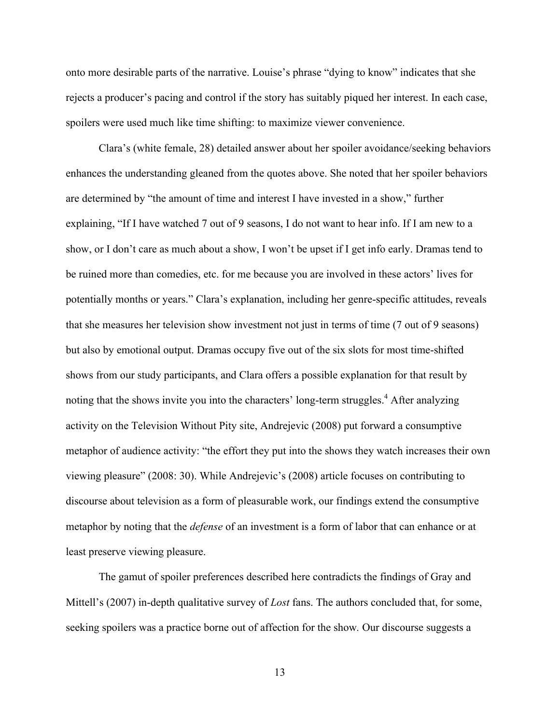onto more desirable parts of the narrative. Louise's phrase "dying to know" indicates that she rejects a producer's pacing and control if the story has suitably piqued her interest. In each case, spoilers were used much like time shifting: to maximize viewer convenience.

Clara's (white female, 28) detailed answer about her spoiler avoidance/seeking behaviors enhances the understanding gleaned from the quotes above. She noted that her spoiler behaviors are determined by "the amount of time and interest I have invested in a show," further explaining, "If I have watched 7 out of 9 seasons, I do not want to hear info. If I am new to a show, or I don't care as much about a show, I won't be upset if I get info early. Dramas tend to be ruined more than comedies, etc. for me because you are involved in these actors' lives for potentially months or years." Clara's explanation, including her genre-specific attitudes, reveals that she measures her television show investment not just in terms of time (7 out of 9 seasons) but also by emotional output. Dramas occupy five out of the six slots for most time-shifted shows from our study participants, and Clara offers a possible explanation for that result by noting that the shows invite you into the characters' long-term struggles.<sup>4</sup> After analyzing activity on the Television Without Pity site, Andrejevic (2008) put forward a consumptive metaphor of audience activity: "the effort they put into the shows they watch increases their own viewing pleasure" (2008: 30). While Andrejevic's (2008) article focuses on contributing to discourse about television as a form of pleasurable work, our findings extend the consumptive metaphor by noting that the *defense* of an investment is a form of labor that can enhance or at least preserve viewing pleasure.

The gamut of spoiler preferences described here contradicts the findings of Gray and Mittell's (2007) in-depth qualitative survey of *Lost* fans. The authors concluded that, for some, seeking spoilers was a practice borne out of affection for the show*.* Our discourse suggests a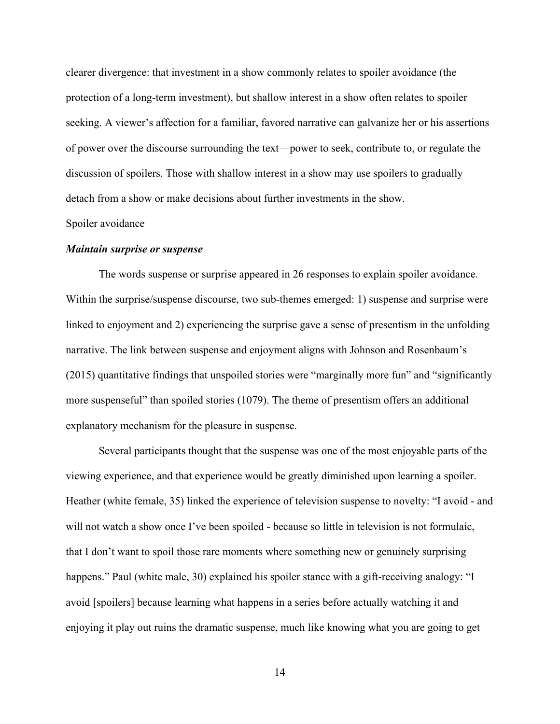clearer divergence: that investment in a show commonly relates to spoiler avoidance (the protection of a long-term investment), but shallow interest in a show often relates to spoiler seeking. A viewer's affection for a familiar, favored narrative can galvanize her or his assertions of power over the discourse surrounding the text—power to seek, contribute to, or regulate the discussion of spoilers. Those with shallow interest in a show may use spoilers to gradually detach from a show or make decisions about further investments in the show.

#### Spoiler avoidance

#### *Maintain surprise or suspense*

The words suspense or surprise appeared in 26 responses to explain spoiler avoidance. Within the surprise/suspense discourse, two sub-themes emerged: 1) suspense and surprise were linked to enjoyment and 2) experiencing the surprise gave a sense of presentism in the unfolding narrative. The link between suspense and enjoyment aligns with Johnson and Rosenbaum's (2015) quantitative findings that unspoiled stories were "marginally more fun" and "significantly more suspenseful" than spoiled stories (1079). The theme of presentism offers an additional explanatory mechanism for the pleasure in suspense.

Several participants thought that the suspense was one of the most enjoyable parts of the viewing experience, and that experience would be greatly diminished upon learning a spoiler. Heather (white female, 35) linked the experience of television suspense to novelty: "I avoid - and will not watch a show once I've been spoiled - because so little in television is not formulaic, that I don't want to spoil those rare moments where something new or genuinely surprising happens." Paul (white male, 30) explained his spoiler stance with a gift-receiving analogy: "I avoid [spoilers] because learning what happens in a series before actually watching it and enjoying it play out ruins the dramatic suspense, much like knowing what you are going to get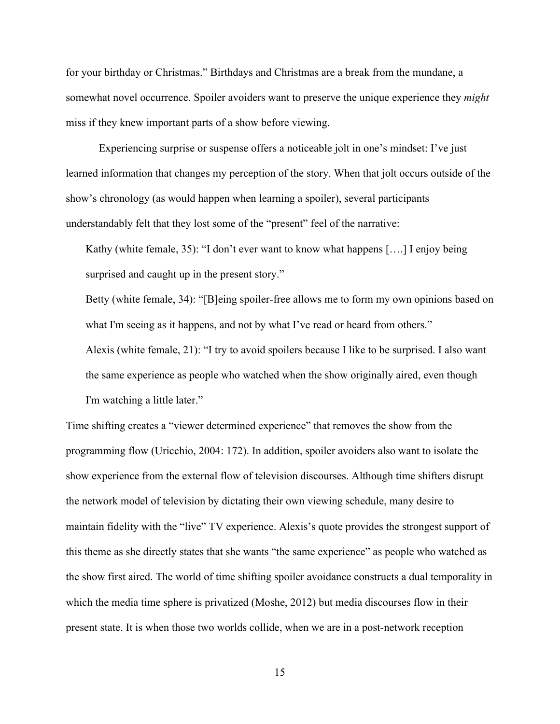for your birthday or Christmas." Birthdays and Christmas are a break from the mundane, a somewhat novel occurrence. Spoiler avoiders want to preserve the unique experience they *might* miss if they knew important parts of a show before viewing.

Experiencing surprise or suspense offers a noticeable jolt in one's mindset: I've just learned information that changes my perception of the story. When that jolt occurs outside of the show's chronology (as would happen when learning a spoiler), several participants understandably felt that they lost some of the "present" feel of the narrative:

Kathy (white female, 35): "I don't ever want to know what happens [….] I enjoy being surprised and caught up in the present story."

Betty (white female, 34): "[B]eing spoiler-free allows me to form my own opinions based on what I'm seeing as it happens, and not by what I've read or heard from others." Alexis (white female, 21): "I try to avoid spoilers because I like to be surprised. I also want the same experience as people who watched when the show originally aired, even though I'm watching a little later."

Time shifting creates a "viewer determined experience" that removes the show from the programming flow (Uricchio, 2004: 172). In addition, spoiler avoiders also want to isolate the show experience from the external flow of television discourses. Although time shifters disrupt the network model of television by dictating their own viewing schedule, many desire to maintain fidelity with the "live" TV experience. Alexis's quote provides the strongest support of this theme as she directly states that she wants "the same experience" as people who watched as the show first aired. The world of time shifting spoiler avoidance constructs a dual temporality in which the media time sphere is privatized (Moshe, 2012) but media discourses flow in their present state. It is when those two worlds collide, when we are in a post-network reception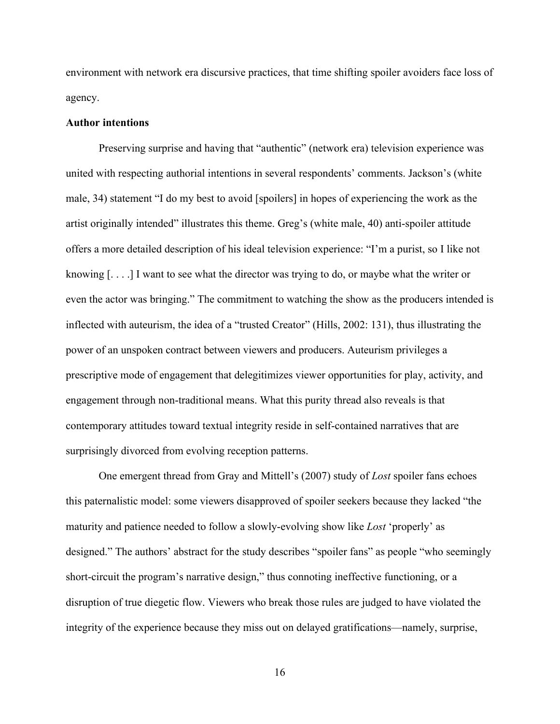environment with network era discursive practices, that time shifting spoiler avoiders face loss of agency.

#### **Author intentions**

Preserving surprise and having that "authentic" (network era) television experience was united with respecting authorial intentions in several respondents' comments. Jackson's (white male, 34) statement "I do my best to avoid [spoilers] in hopes of experiencing the work as the artist originally intended" illustrates this theme. Greg's (white male, 40) anti-spoiler attitude offers a more detailed description of his ideal television experience: "I'm a purist, so I like not knowing [. . . .] I want to see what the director was trying to do, or maybe what the writer or even the actor was bringing." The commitment to watching the show as the producers intended is inflected with auteurism, the idea of a "trusted Creator" (Hills, 2002: 131), thus illustrating the power of an unspoken contract between viewers and producers. Auteurism privileges a prescriptive mode of engagement that delegitimizes viewer opportunities for play, activity, and engagement through non-traditional means. What this purity thread also reveals is that contemporary attitudes toward textual integrity reside in self-contained narratives that are surprisingly divorced from evolving reception patterns.

One emergent thread from Gray and Mittell's (2007) study of *Lost* spoiler fans echoes this paternalistic model: some viewers disapproved of spoiler seekers because they lacked "the maturity and patience needed to follow a slowly-evolving show like *Lost* 'properly' as designed." The authors' abstract for the study describes "spoiler fans" as people "who seemingly short-circuit the program's narrative design," thus connoting ineffective functioning, or a disruption of true diegetic flow. Viewers who break those rules are judged to have violated the integrity of the experience because they miss out on delayed gratifications—namely, surprise,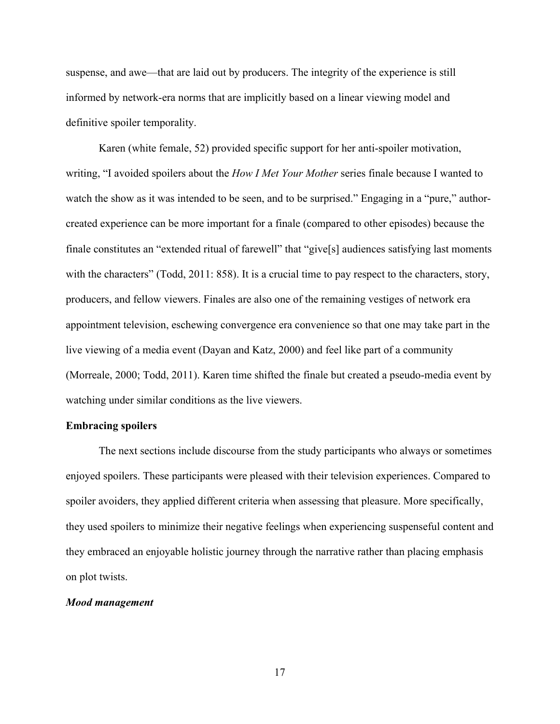suspense, and awe—that are laid out by producers. The integrity of the experience is still informed by network-era norms that are implicitly based on a linear viewing model and definitive spoiler temporality.

Karen (white female, 52) provided specific support for her anti-spoiler motivation, writing, "I avoided spoilers about the *How I Met Your Mother* series finale because I wanted to watch the show as it was intended to be seen, and to be surprised." Engaging in a "pure," authorcreated experience can be more important for a finale (compared to other episodes) because the finale constitutes an "extended ritual of farewell" that "give[s] audiences satisfying last moments with the characters" (Todd, 2011: 858). It is a crucial time to pay respect to the characters, story, producers, and fellow viewers. Finales are also one of the remaining vestiges of network era appointment television, eschewing convergence era convenience so that one may take part in the live viewing of a media event (Dayan and Katz, 2000) and feel like part of a community (Morreale, 2000; Todd, 2011). Karen time shifted the finale but created a pseudo-media event by watching under similar conditions as the live viewers.

## **Embracing spoilers**

The next sections include discourse from the study participants who always or sometimes enjoyed spoilers. These participants were pleased with their television experiences. Compared to spoiler avoiders, they applied different criteria when assessing that pleasure. More specifically, they used spoilers to minimize their negative feelings when experiencing suspenseful content and they embraced an enjoyable holistic journey through the narrative rather than placing emphasis on plot twists.

### *Mood management*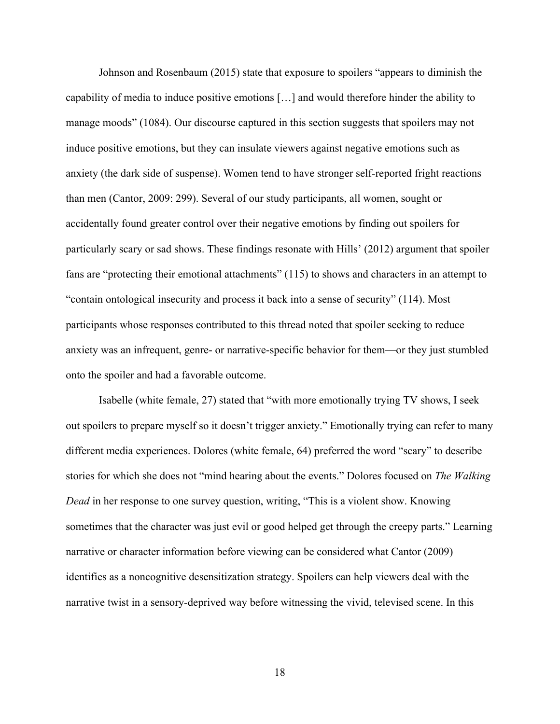Johnson and Rosenbaum (2015) state that exposure to spoilers "appears to diminish the capability of media to induce positive emotions […] and would therefore hinder the ability to manage moods" (1084). Our discourse captured in this section suggests that spoilers may not induce positive emotions, but they can insulate viewers against negative emotions such as anxiety (the dark side of suspense). Women tend to have stronger self-reported fright reactions than men (Cantor, 2009: 299). Several of our study participants, all women, sought or accidentally found greater control over their negative emotions by finding out spoilers for particularly scary or sad shows. These findings resonate with Hills' (2012) argument that spoiler fans are "protecting their emotional attachments" (115) to shows and characters in an attempt to "contain ontological insecurity and process it back into a sense of security" (114). Most participants whose responses contributed to this thread noted that spoiler seeking to reduce anxiety was an infrequent, genre- or narrative-specific behavior for them—or they just stumbled onto the spoiler and had a favorable outcome.

Isabelle (white female, 27) stated that "with more emotionally trying TV shows, I seek out spoilers to prepare myself so it doesn't trigger anxiety." Emotionally trying can refer to many different media experiences. Dolores (white female, 64) preferred the word "scary" to describe stories for which she does not "mind hearing about the events." Dolores focused on *The Walking Dead* in her response to one survey question, writing, "This is a violent show. Knowing sometimes that the character was just evil or good helped get through the creepy parts." Learning narrative or character information before viewing can be considered what Cantor (2009) identifies as a noncognitive desensitization strategy. Spoilers can help viewers deal with the narrative twist in a sensory-deprived way before witnessing the vivid, televised scene. In this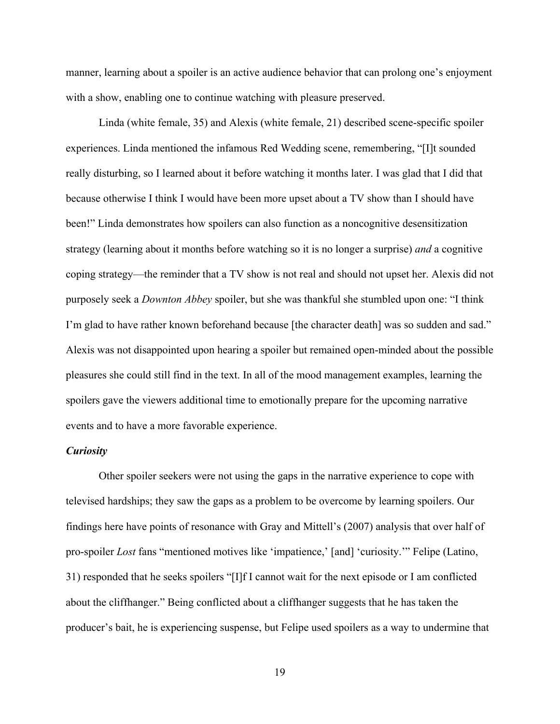manner, learning about a spoiler is an active audience behavior that can prolong one's enjoyment with a show, enabling one to continue watching with pleasure preserved.

Linda (white female, 35) and Alexis (white female, 21) described scene-specific spoiler experiences. Linda mentioned the infamous Red Wedding scene, remembering, "[I]t sounded really disturbing, so I learned about it before watching it months later. I was glad that I did that because otherwise I think I would have been more upset about a TV show than I should have been!" Linda demonstrates how spoilers can also function as a noncognitive desensitization strategy (learning about it months before watching so it is no longer a surprise) *and* a cognitive coping strategy—the reminder that a TV show is not real and should not upset her. Alexis did not purposely seek a *Downton Abbey* spoiler, but she was thankful she stumbled upon one: "I think I'm glad to have rather known beforehand because [the character death] was so sudden and sad." Alexis was not disappointed upon hearing a spoiler but remained open-minded about the possible pleasures she could still find in the text. In all of the mood management examples, learning the spoilers gave the viewers additional time to emotionally prepare for the upcoming narrative events and to have a more favorable experience.

## *Curiosity*

Other spoiler seekers were not using the gaps in the narrative experience to cope with televised hardships; they saw the gaps as a problem to be overcome by learning spoilers. Our findings here have points of resonance with Gray and Mittell's (2007) analysis that over half of pro-spoiler *Lost* fans "mentioned motives like 'impatience,' [and] 'curiosity.'" Felipe (Latino, 31) responded that he seeks spoilers "[I]f I cannot wait for the next episode or I am conflicted about the cliffhanger." Being conflicted about a cliffhanger suggests that he has taken the producer's bait, he is experiencing suspense, but Felipe used spoilers as a way to undermine that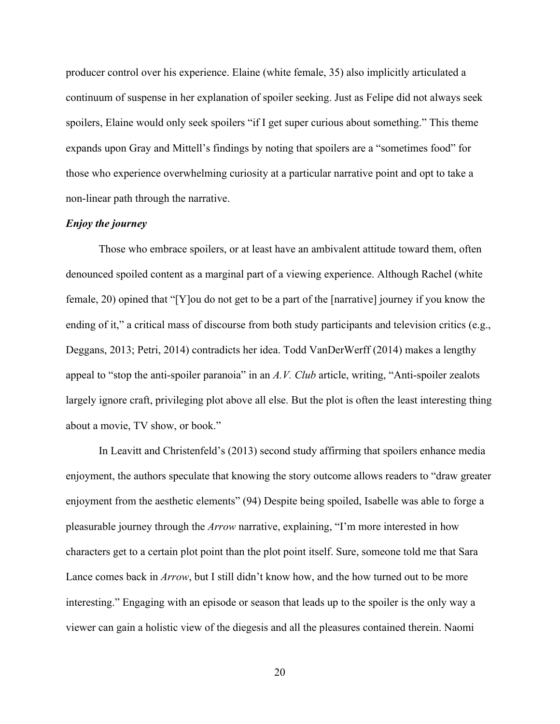producer control over his experience. Elaine (white female, 35) also implicitly articulated a continuum of suspense in her explanation of spoiler seeking. Just as Felipe did not always seek spoilers, Elaine would only seek spoilers "if I get super curious about something." This theme expands upon Gray and Mittell's findings by noting that spoilers are a "sometimes food" for those who experience overwhelming curiosity at a particular narrative point and opt to take a non-linear path through the narrative.

## *Enjoy the journey*

Those who embrace spoilers, or at least have an ambivalent attitude toward them, often denounced spoiled content as a marginal part of a viewing experience. Although Rachel (white female, 20) opined that "[Y]ou do not get to be a part of the [narrative] journey if you know the ending of it," a critical mass of discourse from both study participants and television critics (e.g., Deggans, 2013; Petri, 2014) contradicts her idea. Todd VanDerWerff (2014) makes a lengthy appeal to "stop the anti-spoiler paranoia" in an *A.V. Club* article, writing, "Anti-spoiler zealots largely ignore craft, privileging plot above all else. But the plot is often the least interesting thing about a movie, TV show, or book."

In Leavitt and Christenfeld's (2013) second study affirming that spoilers enhance media enjoyment, the authors speculate that knowing the story outcome allows readers to "draw greater enjoyment from the aesthetic elements" (94) Despite being spoiled, Isabelle was able to forge a pleasurable journey through the *Arrow* narrative, explaining, "I'm more interested in how characters get to a certain plot point than the plot point itself. Sure, someone told me that Sara Lance comes back in *Arrow*, but I still didn't know how, and the how turned out to be more interesting." Engaging with an episode or season that leads up to the spoiler is the only way a viewer can gain a holistic view of the diegesis and all the pleasures contained therein. Naomi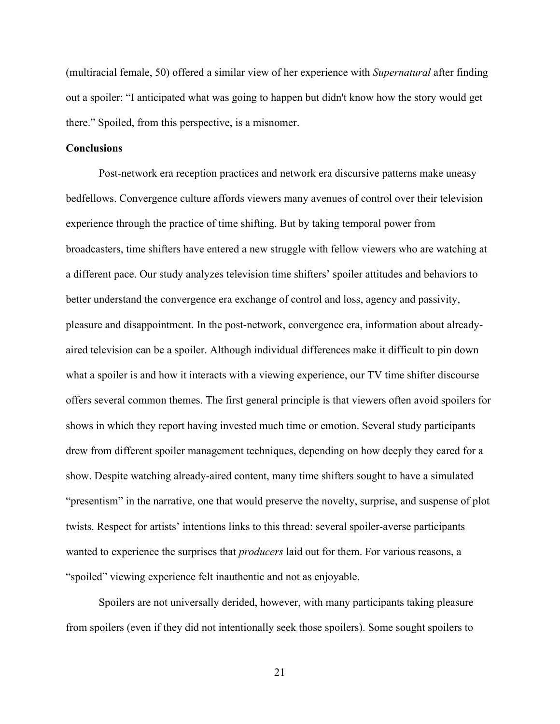(multiracial female, 50) offered a similar view of her experience with *Supernatural* after finding out a spoiler: "I anticipated what was going to happen but didn't know how the story would get there." Spoiled, from this perspective, is a misnomer.

## **Conclusions**

Post-network era reception practices and network era discursive patterns make uneasy bedfellows. Convergence culture affords viewers many avenues of control over their television experience through the practice of time shifting. But by taking temporal power from broadcasters, time shifters have entered a new struggle with fellow viewers who are watching at a different pace. Our study analyzes television time shifters' spoiler attitudes and behaviors to better understand the convergence era exchange of control and loss, agency and passivity, pleasure and disappointment. In the post-network, convergence era, information about alreadyaired television can be a spoiler. Although individual differences make it difficult to pin down what a spoiler is and how it interacts with a viewing experience, our TV time shifter discourse offers several common themes. The first general principle is that viewers often avoid spoilers for shows in which they report having invested much time or emotion. Several study participants drew from different spoiler management techniques, depending on how deeply they cared for a show. Despite watching already-aired content, many time shifters sought to have a simulated "presentism" in the narrative, one that would preserve the novelty, surprise, and suspense of plot twists. Respect for artists' intentions links to this thread: several spoiler-averse participants wanted to experience the surprises that *producers* laid out for them. For various reasons, a "spoiled" viewing experience felt inauthentic and not as enjoyable.

Spoilers are not universally derided, however, with many participants taking pleasure from spoilers (even if they did not intentionally seek those spoilers). Some sought spoilers to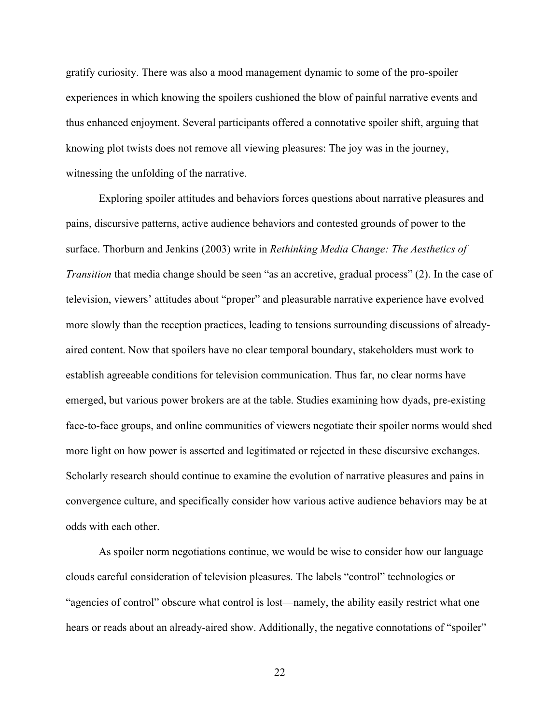gratify curiosity. There was also a mood management dynamic to some of the pro-spoiler experiences in which knowing the spoilers cushioned the blow of painful narrative events and thus enhanced enjoyment. Several participants offered a connotative spoiler shift, arguing that knowing plot twists does not remove all viewing pleasures: The joy was in the journey, witnessing the unfolding of the narrative.

Exploring spoiler attitudes and behaviors forces questions about narrative pleasures and pains, discursive patterns, active audience behaviors and contested grounds of power to the surface. Thorburn and Jenkins (2003) write in *Rethinking Media Change: The Aesthetics of Transition* that media change should be seen "as an accretive, gradual process" (2). In the case of television, viewers' attitudes about "proper" and pleasurable narrative experience have evolved more slowly than the reception practices, leading to tensions surrounding discussions of alreadyaired content. Now that spoilers have no clear temporal boundary, stakeholders must work to establish agreeable conditions for television communication. Thus far, no clear norms have emerged, but various power brokers are at the table. Studies examining how dyads, pre-existing face-to-face groups, and online communities of viewers negotiate their spoiler norms would shed more light on how power is asserted and legitimated or rejected in these discursive exchanges. Scholarly research should continue to examine the evolution of narrative pleasures and pains in convergence culture, and specifically consider how various active audience behaviors may be at odds with each other.

As spoiler norm negotiations continue, we would be wise to consider how our language clouds careful consideration of television pleasures. The labels "control" technologies or "agencies of control" obscure what control is lost—namely, the ability easily restrict what one hears or reads about an already-aired show. Additionally, the negative connotations of "spoiler"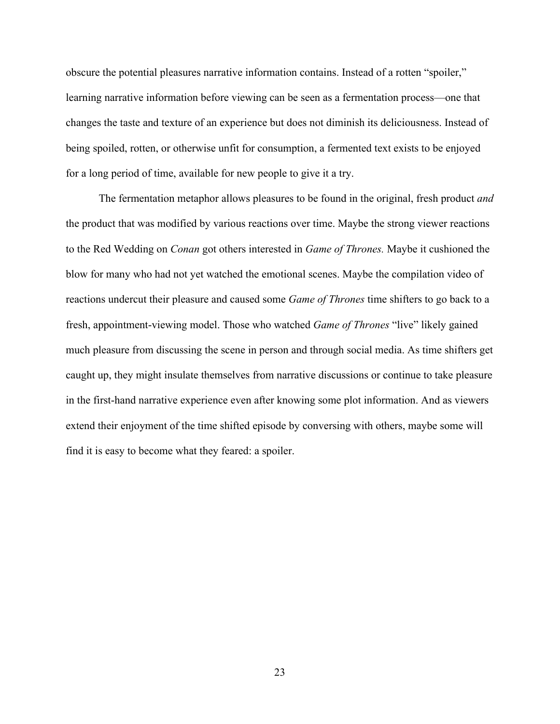obscure the potential pleasures narrative information contains. Instead of a rotten "spoiler," learning narrative information before viewing can be seen as a fermentation process—one that changes the taste and texture of an experience but does not diminish its deliciousness. Instead of being spoiled, rotten, or otherwise unfit for consumption, a fermented text exists to be enjoyed for a long period of time, available for new people to give it a try.

The fermentation metaphor allows pleasures to be found in the original, fresh product *and* the product that was modified by various reactions over time. Maybe the strong viewer reactions to the Red Wedding on *Conan* got others interested in *Game of Thrones.* Maybe it cushioned the blow for many who had not yet watched the emotional scenes. Maybe the compilation video of reactions undercut their pleasure and caused some *Game of Thrones* time shifters to go back to a fresh, appointment-viewing model. Those who watched *Game of Thrones* "live" likely gained much pleasure from discussing the scene in person and through social media. As time shifters get caught up, they might insulate themselves from narrative discussions or continue to take pleasure in the first-hand narrative experience even after knowing some plot information. And as viewers extend their enjoyment of the time shifted episode by conversing with others, maybe some will find it is easy to become what they feared: a spoiler.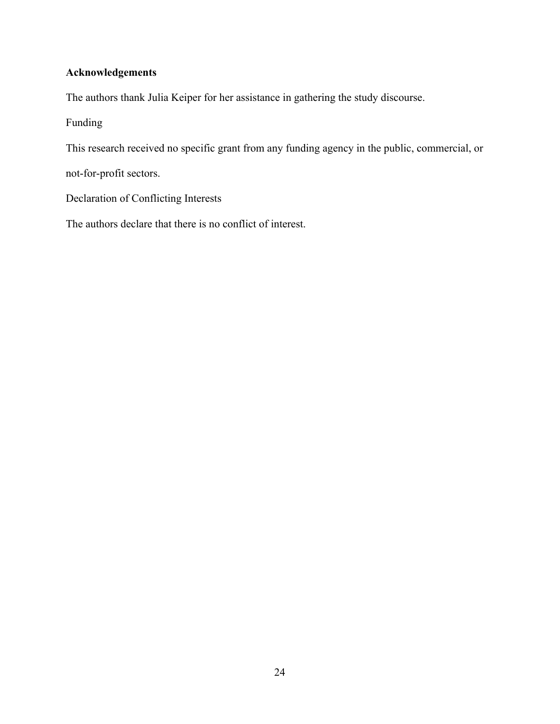## **Acknowledgements**

The authors thank Julia Keiper for her assistance in gathering the study discourse.

## Funding

This research received no specific grant from any funding agency in the public, commercial, or

not-for-profit sectors.

Declaration of Conflicting Interests

The authors declare that there is no conflict of interest.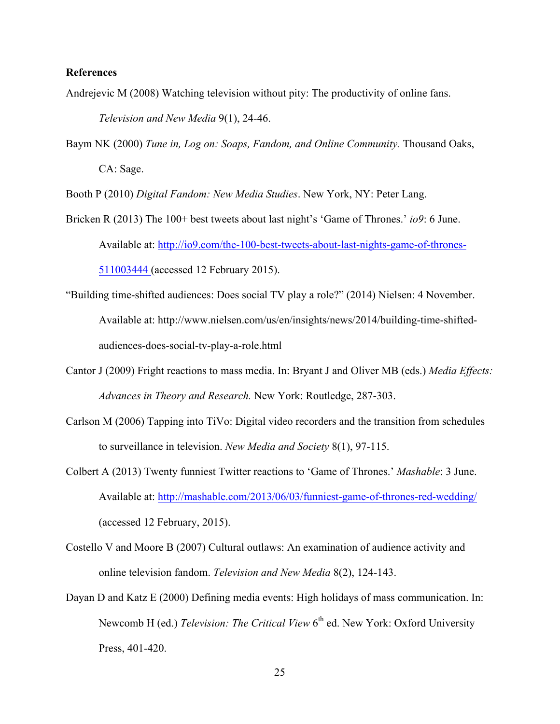## **References**

- Andrejevic M (2008) Watching television without pity: The productivity of online fans. *Television and New Media* 9(1), 24-46.
- Baym NK (2000) *Tune in, Log on: Soaps, Fandom, and Online Community.* Thousand Oaks, CA: Sage.

Booth P (2010) *Digital Fandom: New Media Studies*. New York, NY: Peter Lang.

- Bricken R (2013) The 100+ best tweets about last night's 'Game of Thrones.' *io9*: 6 June. Available at: http://io9.com/the-100-best-tweets-about-last-nights-game-of-thrones-511003444 (accessed 12 February 2015).
- "Building time-shifted audiences: Does social TV play a role?" (2014) Nielsen: 4 November. Available at: http://www.nielsen.com/us/en/insights/news/2014/building-time-shiftedaudiences-does-social-tv-play-a-role.html
- Cantor J (2009) Fright reactions to mass media. In: Bryant J and Oliver MB (eds.) *Media Effects: Advances in Theory and Research.* New York: Routledge, 287-303.
- Carlson M (2006) Tapping into TiVo: Digital video recorders and the transition from schedules to surveillance in television. *New Media and Society* 8(1), 97-115.
- Colbert A (2013) Twenty funniest Twitter reactions to 'Game of Thrones.' *Mashable*: 3 June. Available at: http://mashable.com/2013/06/03/funniest-game-of-thrones-red-wedding/ (accessed 12 February, 2015).
- Costello V and Moore B (2007) Cultural outlaws: An examination of audience activity and online television fandom. *Television and New Media* 8(2), 124-143.
- Dayan D and Katz E (2000) Defining media events: High holidays of mass communication. In: Newcomb H (ed.) *Television: The Critical View* 6<sup>th</sup> ed. New York: Oxford University Press, 401-420.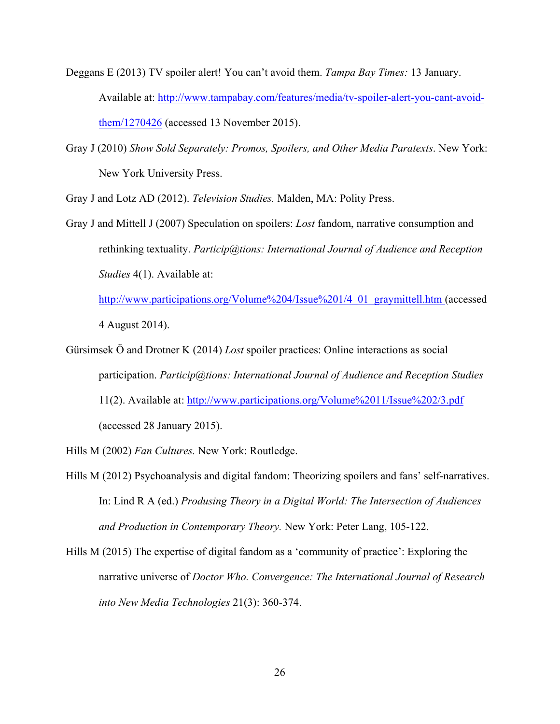- Deggans E (2013) TV spoiler alert! You can't avoid them. *Tampa Bay Times:* 13 January. Available at: http://www.tampabay.com/features/media/tv-spoiler-alert-you-cant-avoidthem/1270426 (accessed 13 November 2015).
- Gray J (2010) *Show Sold Separately: Promos, Spoilers, and Other Media Paratexts*. New York: New York University Press.

Gray J and Lotz AD (2012). *Television Studies.* Malden, MA: Polity Press.

Gray J and Mittell J (2007) Speculation on spoilers: *Lost* fandom, narrative consumption and rethinking textuality. *Particip@tions: International Journal of Audience and Reception Studies* 4(1). Available at:

http://www.participations.org/Volume%204/Issue%201/4\_01\_graymittell.htm (accessed 4 August 2014).

Gürsimsek Ö and Drotner K (2014) *Lost* spoiler practices: Online interactions as social participation. *Particip@tions: International Journal of Audience and Reception Studies* 11(2). Available at: http://www.participations.org/Volume%2011/Issue%202/3.pdf (accessed 28 January 2015).

Hills M (2002) *Fan Cultures.* New York: Routledge.

- Hills M (2012) Psychoanalysis and digital fandom: Theorizing spoilers and fans' self-narratives. In: Lind R A (ed.) *Produsing Theory in a Digital World: The Intersection of Audiences and Production in Contemporary Theory.* New York: Peter Lang, 105-122.
- Hills M (2015) The expertise of digital fandom as a 'community of practice': Exploring the narrative universe of *Doctor Who. Convergence: The International Journal of Research into New Media Technologies* 21(3): 360-374.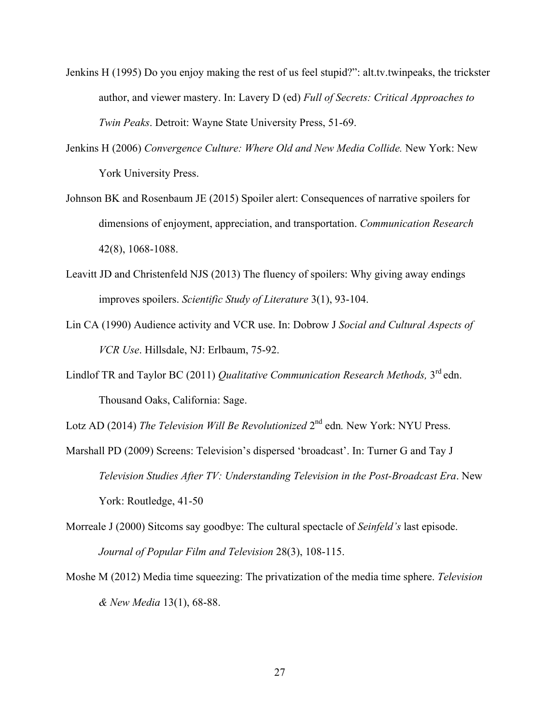- Jenkins H (1995) Do you enjoy making the rest of us feel stupid?": alt.tv.twinpeaks, the trickster author, and viewer mastery. In: Lavery D (ed) *Full of Secrets: Critical Approaches to Twin Peaks*. Detroit: Wayne State University Press, 51-69.
- Jenkins H (2006) *Convergence Culture: Where Old and New Media Collide.* New York: New York University Press.
- Johnson BK and Rosenbaum JE (2015) Spoiler alert: Consequences of narrative spoilers for dimensions of enjoyment, appreciation, and transportation. *Communication Research* 42(8), 1068-1088.
- Leavitt JD and Christenfeld NJS (2013) The fluency of spoilers: Why giving away endings improves spoilers. *Scientific Study of Literature* 3(1), 93-104.
- Lin CA (1990) Audience activity and VCR use. In: Dobrow J *Social and Cultural Aspects of VCR Use*. Hillsdale, NJ: Erlbaum, 75-92.
- Lindlof TR and Taylor BC (2011) *Qualitative Communication Research Methods,* 3rd edn. Thousand Oaks, California: Sage.

Lotz AD (2014) *The Television Will Be Revolutionized*  $2^{nd}$  edn. New York: NYU Press.

- Marshall PD (2009) Screens: Television's dispersed 'broadcast'. In: Turner G and Tay J *Television Studies After TV: Understanding Television in the Post-Broadcast Era*. New York: Routledge, 41-50
- Morreale J (2000) Sitcoms say goodbye: The cultural spectacle of *Seinfeld's* last episode. *Journal of Popular Film and Television* 28(3), 108-115.
- Moshe M (2012) Media time squeezing: The privatization of the media time sphere. *Television & New Media* 13(1), 68-88.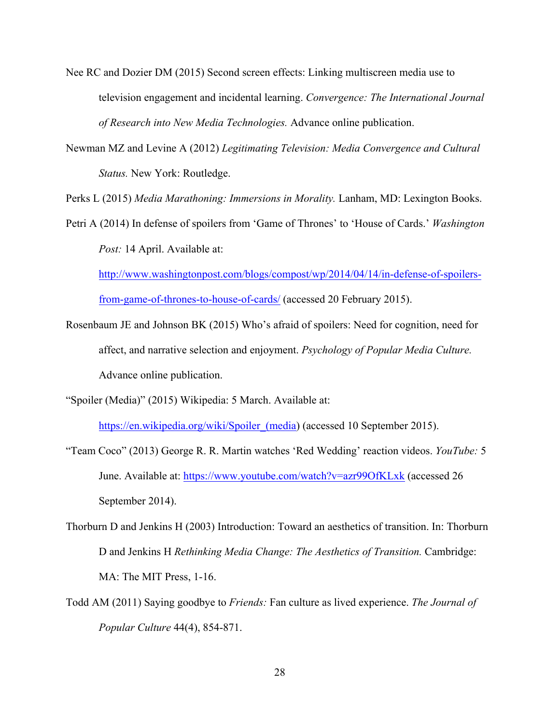- Nee RC and Dozier DM (2015) Second screen effects: Linking multiscreen media use to television engagement and incidental learning. *Convergence: The International Journal of Research into New Media Technologies.* Advance online publication.
- Newman MZ and Levine A (2012) *Legitimating Television: Media Convergence and Cultural Status.* New York: Routledge.

Perks L (2015) *Media Marathoning: Immersions in Morality.* Lanham, MD: Lexington Books.

Petri A (2014) In defense of spoilers from 'Game of Thrones' to 'House of Cards.' *Washington Post:* 14 April. Available at:

http://www.washingtonpost.com/blogs/compost/wp/2014/04/14/in-defense-of-spoilersfrom-game-of-thrones-to-house-of-cards/ (accessed 20 February 2015).

- Rosenbaum JE and Johnson BK (2015) Who's afraid of spoilers: Need for cognition, need for affect, and narrative selection and enjoyment. *Psychology of Popular Media Culture.*  Advance online publication.
- "Spoiler (Media)" (2015) Wikipedia: 5 March. Available at:

https://en.wikipedia.org/wiki/Spoiler (media) (accessed 10 September 2015).

- "Team Coco" (2013) George R. R. Martin watches 'Red Wedding' reaction videos. *YouTube:* 5 June. Available at: https://www.youtube.com/watch?v=azr99OfKLxk (accessed 26 September 2014).
- Thorburn D and Jenkins H (2003) Introduction: Toward an aesthetics of transition. In: Thorburn D and Jenkins H *Rethinking Media Change: The Aesthetics of Transition.* Cambridge: MA: The MIT Press, 1-16.
- Todd AM (2011) Saying goodbye to *Friends:* Fan culture as lived experience. *The Journal of Popular Culture* 44(4), 854-871.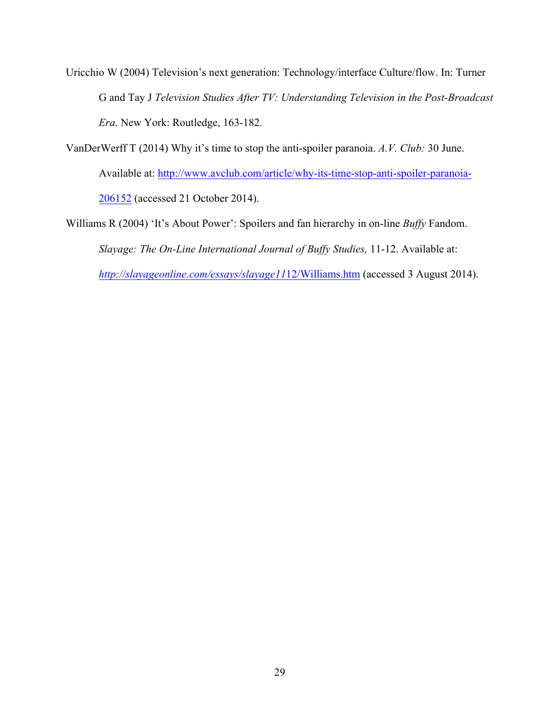Uricchio W (2004) Television's next generation: Technology/interface Culture/flow. In: Turner G and Tay J *Television Studies After TV: Understanding Television in the Post-Broadcast Era*. New York: Routledge, 163-182.

VanDerWerff T (2014) Why it's time to stop the anti-spoiler paranoia. *A.V. Club:* 30 June. Available at: http://www.avclub.com/article/why-its-time-stop-anti-spoiler-paranoia-206152 (accessed 21 October 2014).

Williams R (2004) 'It's About Power': Spoilers and fan hierarchy in on-line *Buffy* Fandom. *Slayage: The On-Line International Journal of Buffy Studies,* 11-12. Available at: *http://slayageonline.com/essays/slayage11*12/Williams.htm (accessed 3 August 2014).